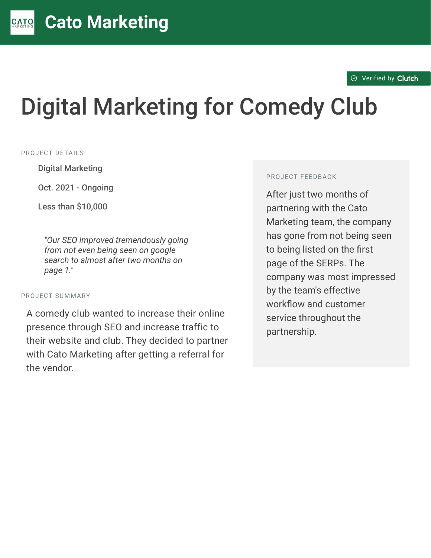#### $\otimes$  [Verified by](https://clutch.co?utm_source=case_studies&utm_medium=verified_by_clutch) Clutch

# Digital Marketing for Comedy Club

#### PROJECT DETAILS

**Digital Marketing** 

Oct. 2021 - Ongoing

Less than  $$10.000$ 

<sup>D</sup> *"Our SEO improved tremendously going from not even being seen on google search to almost after two months on page 1."*

#### PROJECT SUMMARY

A comedy club wanted to increase their online presence through SEO and increase traffic to their website and club. They decided to partner with Cato Marketing after getting a referral for the vendor.

#### PROJECT FEEDBACK

After just two months of partnering with the Cato Marketing team, the company has gone from not being seen to being listed on the first page of the SERPs. The company was most impressed by the team's effective workflow and customer service throughout the partnership.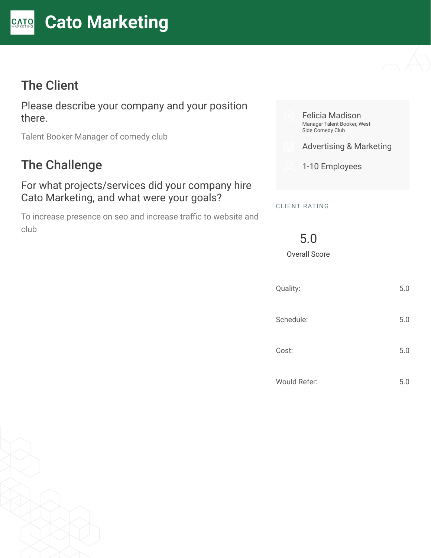# The Client

Please describe your company and your position there.

Talent Booker Manager of comedy club

# The Challenge

#### For what projects/services did your company hire Cato Marketing, and what were your goals?

To increase presence on seo and increase traffic to website and club



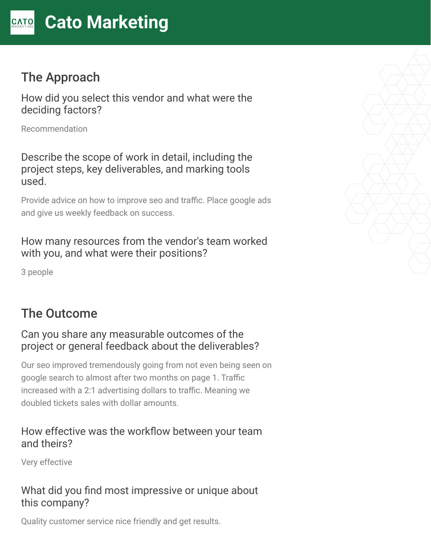# The Approach

How did you select this vendor and what were the deciding factors?

Recommendation

Describe the scope of work in detail, including the project steps, key deliverables, and marking tools used.

Provide advice on how to improve seo and traffic. Place google ads and give us weekly feedback on success.

## How many resources from the vendor's team worked with you, and what were their positions?

3 people

# The Outcome

## Can you share any measurable outcomes of the project or general feedback about the deliverables?

Our seo improved tremendously going from not even being seen on google search to almost after two months on page 1. Traffic increased with a 2:1 advertising dollars to traffic. Meaning we doubled tickets sales with dollar amounts.

### How effective was the workflow between your team and theirs?

Very effective

## What did you find most impressive or unique about this company?

Quality customer service nice friendly and get results.